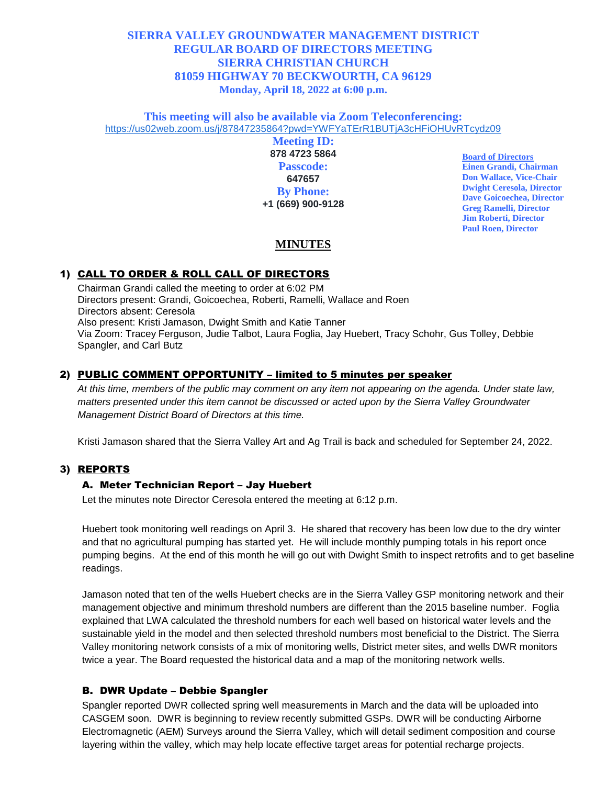# **SIERRA VALLEY GROUNDWATER MANAGEMENT DISTRICT REGULAR BOARD OF DIRECTORS MEETING SIERRA CHRISTIAN CHURCH 81059 HIGHWAY 70 BECKWOURTH, CA 96129 Monday, April 18, 2022 at 6:00 p.m.**

**This meeting will also be available via Zoom Teleconferencing:** [https://us02web.zoom.us/j/87847235864?pwd=YWFYaTErR1BUTjA3cHFiOHUvRTcydz09](https://www.google.com/url?q=https://us02web.zoom.us/j/87847235864?pwd%3DYWFYaTErR1BUTjA3cHFiOHUvRTcydz09&sa=D&source=calendar&usd=2&usg=AOvVaw17jld7UEAVbXdKVSqMMnqP)

> **Meeting ID: 878 4723 5864 Passcode: 647657 By Phone: +1 (669) 900-9128**

**Board of Directors Einen Grandi, Chairman Don Wallace, Vice-Chair Dwight Ceresola, Director Dave Goicoechea, Director Greg Ramelli, Director Jim Roberti, Director Paul Roen, Director**

# **MINUTES**

#### 1) CALL TO ORDER & ROLL CALL OF DIRECTORS

Chairman Grandi called the meeting to order at 6:02 PM Directors present: Grandi, Goicoechea, Roberti, Ramelli, Wallace and Roen Directors absent: Ceresola Also present: Kristi Jamason, Dwight Smith and Katie Tanner Via Zoom: Tracey Ferguson, Judie Talbot, Laura Foglia, Jay Huebert, Tracy Schohr, Gus Tolley, Debbie Spangler, and Carl Butz

#### 2) PUBLIC COMMENT OPPORTUNITY – limited to 5 minutes per speaker

*At this time, members of the public may comment on any item not appearing on the agenda. Under state law, matters presented under this item cannot be discussed or acted upon by the Sierra Valley Groundwater Management District Board of Directors at this time.*

Kristi Jamason shared that the Sierra Valley Art and Ag Trail is back and scheduled for September 24, 2022.

#### 3) REPORTS

#### A. Meter Technician Report – Jay Huebert

Let the minutes note Director Ceresola entered the meeting at 6:12 p.m.

Huebert took monitoring well readings on April 3. He shared that recovery has been low due to the dry winter and that no agricultural pumping has started yet. He will include monthly pumping totals in his report once pumping begins. At the end of this month he will go out with Dwight Smith to inspect retrofits and to get baseline readings.

Jamason noted that ten of the wells Huebert checks are in the Sierra Valley GSP monitoring network and their management objective and minimum threshold numbers are different than the 2015 baseline number. Foglia explained that LWA calculated the threshold numbers for each well based on historical water levels and the sustainable yield in the model and then selected threshold numbers most beneficial to the District. The Sierra Valley monitoring network consists of a mix of monitoring wells, District meter sites, and wells DWR monitors twice a year. The Board requested the historical data and a map of the monitoring network wells.

#### B. DWR Update – Debbie Spangler

Spangler reported DWR collected spring well measurements in March and the data will be uploaded into CASGEM soon. DWR is beginning to review recently submitted GSPs. DWR will be conducting Airborne Electromagnetic (AEM) Surveys around the Sierra Valley, which will detail sediment composition and course layering within the valley, which may help locate effective target areas for potential recharge projects.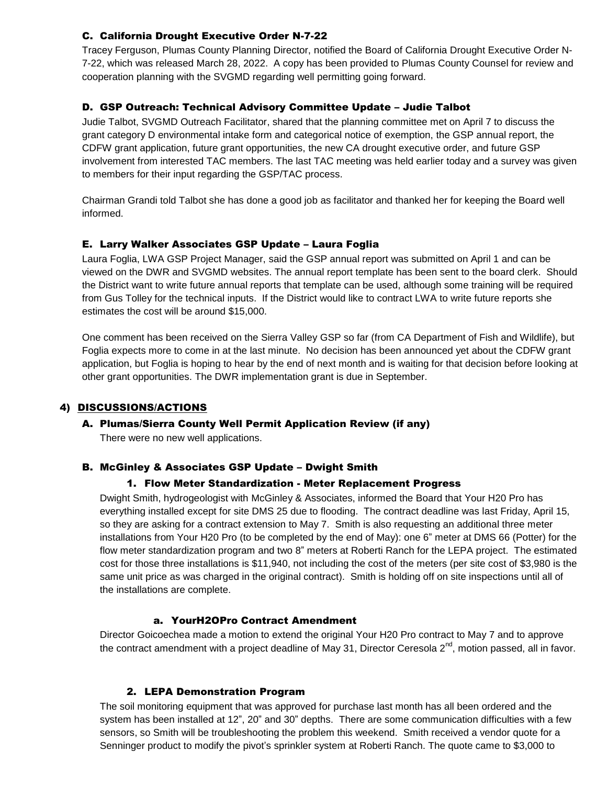# C. California Drought Executive Order N-7-22

Tracey Ferguson, Plumas County Planning Director, notified the Board of California Drought Executive Order N-7-22, which was released March 28, 2022. A copy has been provided to Plumas County Counsel for review and cooperation planning with the SVGMD regarding well permitting going forward.

## D. GSP Outreach: Technical Advisory Committee Update – Judie Talbot

Judie Talbot, SVGMD Outreach Facilitator, shared that the planning committee met on April 7 to discuss the grant category D environmental intake form and categorical notice of exemption, the GSP annual report, the CDFW grant application, future grant opportunities, the new CA drought executive order, and future GSP involvement from interested TAC members. The last TAC meeting was held earlier today and a survey was given to members for their input regarding the GSP/TAC process.

Chairman Grandi told Talbot she has done a good job as facilitator and thanked her for keeping the Board well informed.

## E. Larry Walker Associates GSP Update – Laura Foglia

Laura Foglia, LWA GSP Project Manager, said the GSP annual report was submitted on April 1 and can be viewed on the DWR and SVGMD websites. The annual report template has been sent to the board clerk. Should the District want to write future annual reports that template can be used, although some training will be required from Gus Tolley for the technical inputs. If the District would like to contract LWA to write future reports she estimates the cost will be around \$15,000.

One comment has been received on the Sierra Valley GSP so far (from CA Department of Fish and Wildlife), but Foglia expects more to come in at the last minute. No decision has been announced yet about the CDFW grant application, but Foglia is hoping to hear by the end of next month and is waiting for that decision before looking at other grant opportunities. The DWR implementation grant is due in September.

#### 4) DISCUSSIONS/ACTIONS

#### A. Plumas/Sierra County Well Permit Application Review (if any)

There were no new well applications.

#### B. McGinley & Associates GSP Update – Dwight Smith

#### 1. Flow Meter Standardization - Meter Replacement Progress

Dwight Smith, hydrogeologist with McGinley & Associates, informed the Board that Your H20 Pro has everything installed except for site DMS 25 due to flooding. The contract deadline was last Friday, April 15, so they are asking for a contract extension to May 7. Smith is also requesting an additional three meter installations from Your H20 Pro (to be completed by the end of May): one 6" meter at DMS 66 (Potter) for the flow meter standardization program and two 8" meters at Roberti Ranch for the LEPA project. The estimated cost for those three installations is \$11,940, not including the cost of the meters (per site cost of \$3,980 is the same unit price as was charged in the original contract). Smith is holding off on site inspections until all of the installations are complete.

#### a. YourH2OPro Contract Amendment

Director Goicoechea made a motion to extend the original Your H20 Pro contract to May 7 and to approve the contract amendment with a project deadline of May 31, Director Ceresola 2<sup>nd</sup>, motion passed, all in favor.

#### 2. LEPA Demonstration Program

The soil monitoring equipment that was approved for purchase last month has all been ordered and the system has been installed at 12", 20" and 30" depths. There are some communication difficulties with a few sensors, so Smith will be troubleshooting the problem this weekend. Smith received a vendor quote for a Senninger product to modify the pivot's sprinkler system at Roberti Ranch. The quote came to \$3,000 to